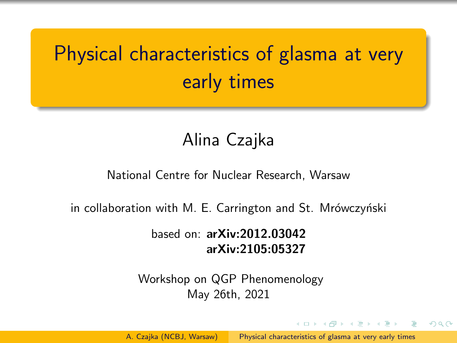# <span id="page-0-0"></span>Physical characteristics of glasma at very early times

### Alina Czajka

#### National Centre for Nuclear Research, Warsaw

in collaboration with M. E. Carrington and St. Mrówczyński

### based on: arXiv:2012.03042 arXiv:2105:05327

Workshop on QGP Phenomenology May 26th, 2021

 $1 - 1 - 1 - 1 = 1 - 1 = 1$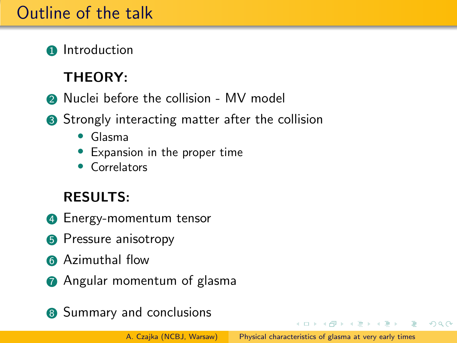# Outline of the talk

**1** Introduction

### THEORY:

- **2** Nuclei before the collision MV model
- **3** Strongly interacting matter after the collision
	- Glasma
	- Expansion in the proper time
	- Correlators

### RESULTS:

- **4** Energy-momentum tensor
- **6** Pressure anisotropy
- **6** Azimuthal flow
- **2** Angular momentum of glasma
- 8 Summary and conclusions

イロメ イ押メ イヨメ イヨメ

性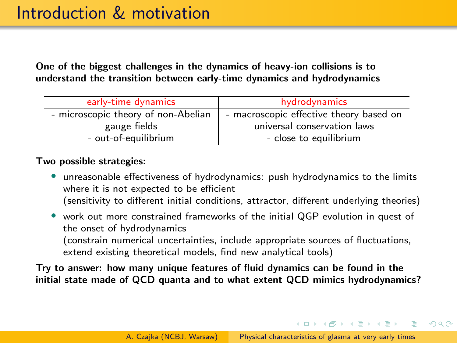One of the biggest challenges in the dynamics of heavy-ion collisions is to understand the transition between early-time dynamics and hydrodynamics

| early-time dynamics                 | hydrodynamics                           |
|-------------------------------------|-----------------------------------------|
| - microscopic theory of non-Abelian | - macroscopic effective theory based on |
| gauge fields                        | universal conservation laws             |
| - out-of-equilibrium                | - close to equilibrium                  |

#### Two possible strategies:

- unreasonable effectiveness of hydrodynamics: push hydrodynamics to the limits where it is not expected to be efficient (sensitivity to different initial conditions, attractor, different underlying theories)
- work out more constrained frameworks of the initial QGP evolution in quest of the onset of hydrodynamics (constrain numerical uncertainties, include appropriate sources of fluctuations, extend existing theoretical models, find new analytical tools)

Try to answer: how many unique features of fluid dynamics can be found in the initial state made of QCD quanta and to what extent QCD mimics hydrodynamics?

**KORK EXTERNS ORA**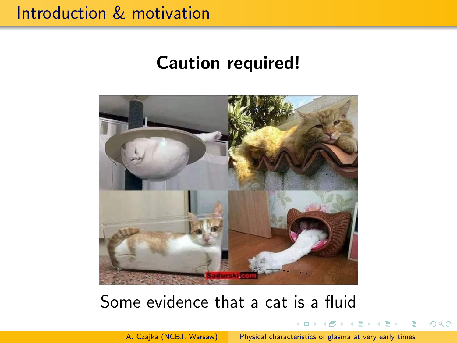## Caution required!



### Some evidence that a cat is a fluid

A. Czajka (NCBJ, Warsaw) [Physical characteristics of glasma at very early times](#page-0-0)

イロト イ母ト イヨト イヨト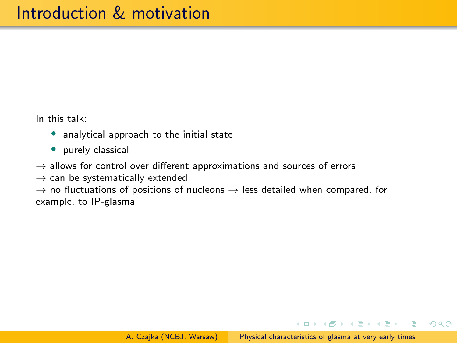In this talk:

- analytical approach to the initial state
- purely classical
- $\rightarrow$  allows for control over different approximations and sources of errors
- $\rightarrow$  can be systematically extended
- $\rightarrow$  no fluctuations of positions of nucleons  $\rightarrow$  less detailed when compared, for example, to IP-glasma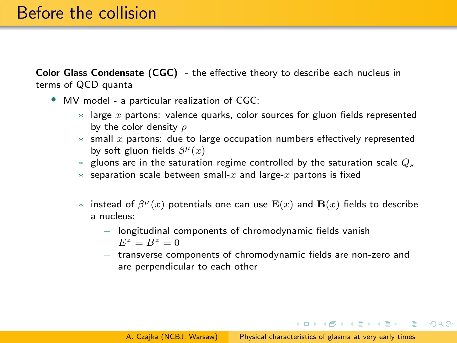Color Glass Condensate (CGC) - the effective theory to describe each nucleus in terms of QCD quanta

- MV model a particular realization of CGC:
	- $*$  large  $x$  partons: valence quarks, color sources for gluon fields represented by the color density  $\rho$
	- $*$  small  $x$  partons: due to large occupation numbers effectively represented by soft gluon fields  $\beta^{\mu}(x)$
	- $*$  gluons are in the saturation regime controlled by the saturation scale  $Q_s$
	- ∗ separation scale between small-x and large-x partons is fixed
	- $*$  instead of  $\beta^{\mu}(x)$  potentials one can use  $\mathbf{E}(x)$  and  $\mathbf{B}(x)$  fields to describe a nucleus:
		- − longitudinal components of chromodynamic fields vanish  $E^z = B^z = 0$
		- − transverse components of chromodynamic fields are non-zero and are perpendicular to each other

**KORK EXTERNS ORA**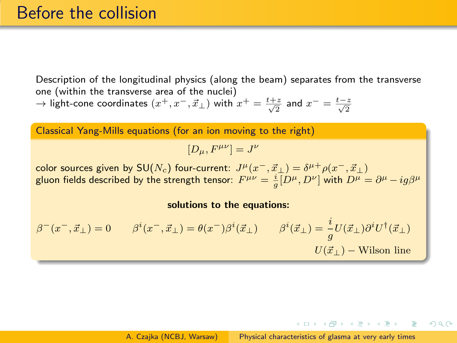Description of the longitudinal physics (along the beam) separates from the transverse one (within the transverse area of the nuclei)

→ light-cone coordinates  $(x^+, x^-, \vec{x}_\perp)$  with  $x^+ = \frac{t+z}{\sqrt{2}}$  and  $x^- = \frac{t-z}{\sqrt{2}}$ 

Classical Yang-Mills equations (for an ion moving to the right)

$$
[D_\mu,F^{\mu\nu}]=J^\nu
$$

color sources given by SU $(N_c)$  four-current:  $J^\mu(x^-,\vec{x}_\perp) = \delta^{\mu +}\rho(x^-,\vec{x}_\perp)$ gluon fields described by the strength tensor:  $F^{\mu\nu}=\frac{i}{g}[D^\mu,D^\nu]$  with  $D^\mu=\partial^\mu-ig\beta^\mu$ 

#### solutions to the equations:

 $\beta^-(x^-,\vec{x}_\perp) = 0 \qquad \beta^i(x^-,\vec{x}_\perp) = \theta(x^-) \beta^i(\vec{x}_\perp) \qquad \beta^i(\vec{x}_\perp) = \frac{i}{g} U(\vec{x}_\perp) \partial^i U^\dagger(\vec{x}_\perp)$  $U(\vec{x}_\perp)$  – Wilson line

KED KAP KED KED E LOQO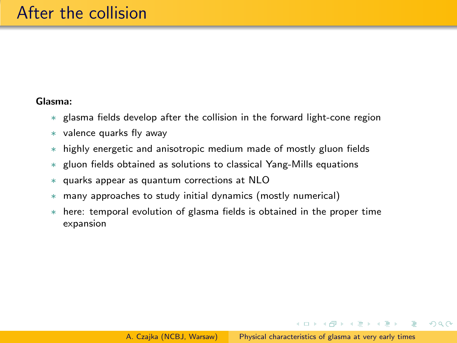#### <span id="page-7-0"></span>Glasma:

- ∗ glasma fields develop after the collision in the forward light-cone region
- ∗ valence quarks fly away
- ∗ highly energetic and anisotropic medium made of mostly gluon fields
- ∗ gluon fields obtained as solutions to classical Yang-Mills equations
- ∗ quarks appear as quantum corrections at NLO
- ∗ many approaches to study initial dynamics (mostly numerical)
- ∗ here: temporal evolution of glasma fields is obtained in the proper time expansion

イロト イ押 トイヨ トイヨ トーヨ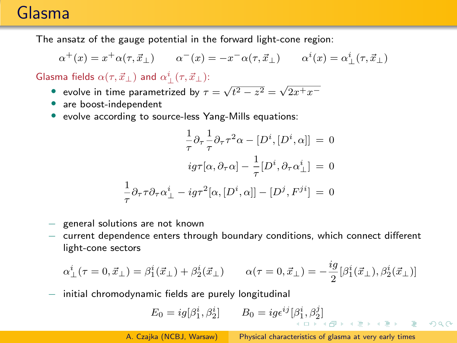## Glasma

The ansatz of the gauge potential in the forward light-cone region:

$$
\alpha^+(x) = x^+ \alpha(\tau, \vec{x}_\perp) \qquad \alpha^-(x) = -x^- \alpha(\tau, \vec{x}_\perp) \qquad \alpha^i(x) = \alpha^i_\perp(\tau, \vec{x}_\perp)
$$

Glasma fields  $\alpha(\tau,\vec{x}_\perp)$  and  $\alpha^i_\perp(\tau,\vec{x}_\perp)$ :

- evolve in time parametrized by  $\tau = \sqrt{t^2 z^2} = \sqrt{2x^+x^-}$
- are boost-independent
- evolve according to source-less Yang-Mills equations:

$$
\frac{1}{\tau} \partial_{\tau} \frac{1}{\tau} \partial_{\tau} \tau^2 \alpha - [D^i, [D^i, \alpha]] = 0
$$

$$
ig\tau[\alpha, \partial_{\tau} \alpha] - \frac{1}{\tau} [D^i, \partial_{\tau} \alpha^i_{\perp}] = 0
$$

$$
\frac{1}{\tau} \partial_{\tau} \tau \partial_{\tau} \alpha^i_{\perp} - ig\tau^2[\alpha, [D^i, \alpha]] - [D^j, F^{ji}] = 0
$$

- general solutions are not known
- − current dependence enters through boundary conditions, which connect different light-cone sectors

$$
\alpha^i_{\perp}(\tau = 0, \vec{x}_{\perp}) = \beta^i_1(\vec{x}_{\perp}) + \beta^i_2(\vec{x}_{\perp}) \qquad \alpha(\tau = 0, \vec{x}_{\perp}) = -\frac{ig}{2}[\beta^i_1(\vec{x}_{\perp}), \beta^i_2(\vec{x}_{\perp})]
$$

initial chromodynamic fields are purely longitudinal

$$
E_0=ig[\beta_1^i,\beta_2^i]\qquad B_0=ig\epsilon^{ij}[\beta_1^i,\beta_2^j]
$$

A. Czajka (NCBJ, Warsaw) [Physical characteristics of glasma at very early times](#page-0-0)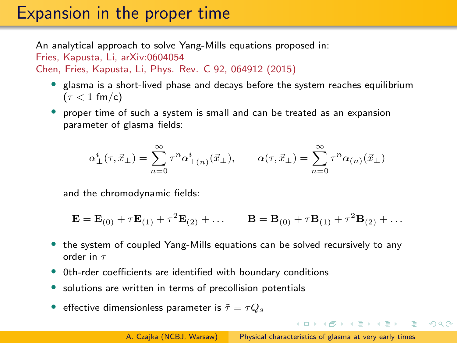<span id="page-9-0"></span>An analytical approach to solve Yang-Mills equations proposed in: Fries, Kapusta, Li, arXiv:0604054 Chen, Fries, Kapusta, Li, Phys. Rev. C 92, 064912 (2015)

- glasma is a short-lived phase and decays before the system reaches equilibrium  $(\tau < 1$  fm/c)
- proper time of such a system is small and can be treated as an expansion parameter of glasma fields:

$$
\alpha_\perp^i(\tau,\vec{x}_\perp)=\sum_{n=0}^\infty\tau^n\alpha_{\perp(n)}^i(\vec{x}_\perp),\qquad \alpha(\tau,\vec{x}_\perp)=\sum_{n=0}^\infty\tau^n\alpha_{(n)}(\vec{x}_\perp)
$$

and the chromodynamic fields:

$$
\mathbf{E} = \mathbf{E}_{(0)} + \tau \mathbf{E}_{(1)} + \tau^2 \mathbf{E}_{(2)} + \dots \qquad \mathbf{B} = \mathbf{B}_{(0)} + \tau \mathbf{B}_{(1)} + \tau^2 \mathbf{B}_{(2)} + \dots
$$

- the system of coupled Yang-Mills equations can be solved recursively to any order in  $\tau$
- 0th-rder coefficients are identified with boundary conditions
- solutions are written in terms of precollision potentials
- effective dimensionless parameter is  $\tilde{\tau} = \tau Q_s$

イロト イ押 トイヨ トイヨ トーヨ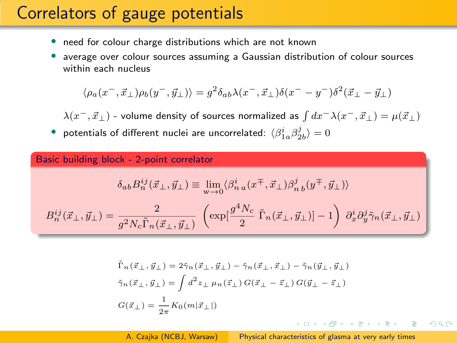## Correlators of gauge potentials

- need for colour charge distributions which are not known
- average over colour sources assuming a Gaussian distribution of colour sources within each nucleus

$$
\langle \rho_a(x^-, \vec{x}_\perp) \rho_b(y^-, \vec{y}_\perp) \rangle = g^2 \delta_{ab} \lambda(x^-, \vec{x}_\perp) \delta(x^- - y^-) \delta^2(\vec{x}_\perp - \vec{y}_\perp)
$$

 $\lambda(x^-,\vec{x}_{\perp})$  - volume density of sources normalized as  $\int dx^{-}\lambda(x^-,\vec{x}_{\perp}) = \mu(\vec{x}_{\perp})$ 

 $\bullet$  potentials of different nuclei are uncorrelated:  $\langle \beta_{1a}^i \beta_{2b}^j \rangle = 0$ 

#### Basic building block - 2-point correlator

$$
\begin{split} \delta_{ab}B^{ij}_{n}(\vec{x}_{\perp},\vec{y}_{\perp}) & \equiv \lim_{\mathrm{w}\rightarrow 0}\langle \beta^i_{n\;a}(x^\mp,\vec{x}_\perp)\beta^j_{n\;b}(y^\mp,\vec{y}_\perp)\rangle\\ B^{ij}_{n}(\vec{x}_\perp,\vec{y}_\perp) & = \frac{2}{g^2N_c\tilde{\Gamma}_n(\vec{x}_\perp,\vec{y}_\perp)}\,\left(\exp[\frac{g^4N_c}{2}\;\tilde{\Gamma}_n(\vec{x}_\perp,\vec{y}_\perp)]-1\right)\,\partial_x^i\partial_y^j\tilde{\gamma}_n(\vec{x}_\perp,\vec{y}_\perp) \end{split}
$$

$$
\begin{aligned} &\tilde{\Gamma}_n(\vec{x}_\perp,\vec{y}_\perp)=2\tilde{\gamma}_n(\vec{x}_\perp,\vec{y}_\perp)-\tilde{\gamma}_n(\vec{x}_\perp,\vec{x}_\perp)-\tilde{\gamma}_n(\vec{y}_\perp,\vec{y}_\perp)\\ &\tilde{\gamma}_n(\vec{x}_\perp,\vec{y}_\perp)=\int d^2z_\perp\,\mu_n(\vec{z}_\perp)\,G(\vec{x}_\perp-\vec{z}_\perp)\,G(\vec{y}_\perp-\vec{z}_\perp)\\ &G(\vec{x}_\perp)=\frac{1}{2\pi}K_0(m|\vec{x}_\perp|) \end{aligned}
$$

A. Czajka (NCBJ, Warsaw) [Physical characteristics of glasma at very early times](#page-0-0)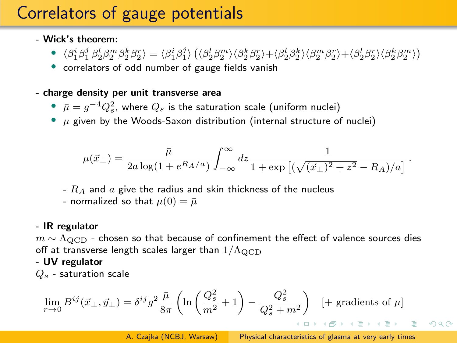# Correlators of gauge potentials

- Wick's theorem:
	- $\bullet$   $\langle \beta_1^i \beta_1^j \beta_2^l \beta_2^m \beta_2^k \beta_2^r \rangle = \langle \beta_1^i \beta_1^j \rangle \left( \langle \beta_2^l \beta_2^m \rangle \langle \beta_2^k \beta_2^r \rangle + \langle \beta_2^l \beta_2^k \rangle \langle \beta_2^m \beta_2^r \rangle + \langle \beta_2^l \beta_2^r \rangle \langle \beta_2^k \beta_2^m \rangle \right)$
	- correlators of odd number of gauge fields vanish

#### - charge density per unit transverse area

- $\bullet$   $\bar{\mu} = g^{-4}Q_s^2$ , where  $Q_s$  is the saturation scale (uniform nuclei)
- $\mu$  given by the Woods-Saxon distribution (internal structure of nuclei)

$$
\mu(\vec{x}_\perp) = \frac{\bar{\mu}}{2a\log(1+e^{R_A/a})} \int_{-\infty}^{\infty} dz \frac{1}{1+\exp\left[(\sqrt{(\vec{x}_\perp)^2+z^2}-R_A)/a\right]}.
$$

-  $R_A$  and  $a$  give the radius and skin thickness of the nucleus

- normalized so that  $\mu(0) = \bar{\mu}$ 

#### - IR regulator

 $m \sim \Lambda_{\rm QCD}$  - chosen so that because of confinement the effect of valence sources dies off at transverse length scales larger than  $1/\Lambda_{\rm QCD}$ 

#### - UV regulator

 $Q_s$  - saturation scale

$$
\lim_{r \to 0} B^{ij}(\vec{x}_\perp, \vec{y}_\perp) = \delta^{ij} g^2 \frac{\bar{\mu}}{8\pi} \left( \ln \left( \frac{Q_s^2}{m^2} + 1 \right) - \frac{Q_s^2}{Q_s^2 + m^2} \right) \quad [+ \text{ gradients of } \mu]
$$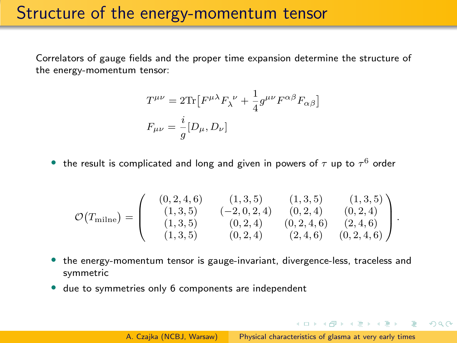### Structure of the energy-momentum tensor

Correlators of gauge fields and the proper time expansion determine the structure of the energy-momentum tensor:

$$
T^{\mu\nu} = 2 \text{Tr} \left[ F^{\mu\lambda} F_{\lambda}{}^{\nu} + \frac{1}{4} g^{\mu\nu} F^{\alpha\beta} F_{\alpha\beta} \right]
$$

$$
F_{\mu\nu} = \frac{i}{g} [D_{\mu}, D_{\nu}]
$$

• the result is complicated and long and given in powers of  $\tau$  up to  $\tau^6$  order

$$
\mathcal{O}(T_{\text{milne}}) = \left( \begin{array}{cccc} (0,2,4,6) & (1,3,5) & (1,3,5) & (1,3,5) \\ (1,3,5) & (-2,0,2,4) & (0,2,4) & (0,2,4) \\ (1,3,5) & (0,2,4) & (0,2,4,6) & (2,4,6) \\ (1,3,5) & (0,2,4) & (2,4,6) & (0,2,4,6) \end{array} \right).
$$

- the energy-momentum tensor is gauge-invariant, divergence-less, traceless and symmetric
- due to symmetries only 6 components are independent

**KORK EXTERNS ORA**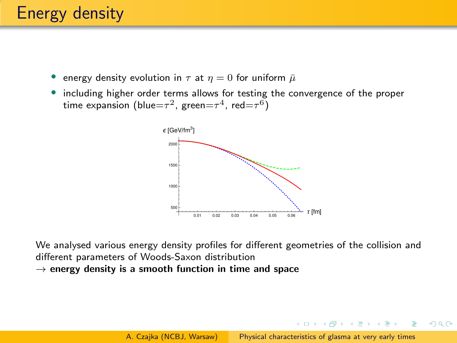## Energy density

- energy density evolution in  $\tau$  at  $\eta = 0$  for uniform  $\bar{\mu}$
- including higher order terms allows for testing the convergence of the proper time expansion (blue $=\! \tau^2$ , green $=\! \tau^4$ , red $=\! \tau^6)$



We analysed various energy density profiles for different geometries of the collision and different parameters of Woods-Saxon distribution

 $\rightarrow$  energy density is a smooth function in time and space

∢ロ→ ∢母 ▶ ∢ ヨ ▶ ∢ ヨ ▶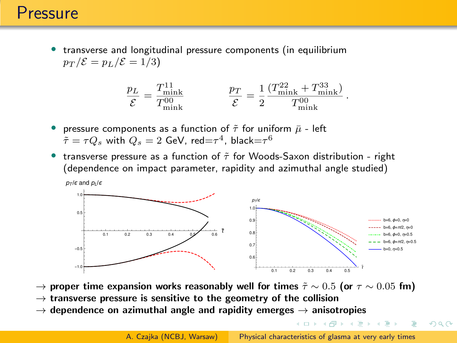### Pressure

• transverse and longitudinal pressure components (in equilibrium  $p_T/\mathcal{E} = p_L/\mathcal{E} = 1/3$ 

$$
\frac{p_L}{\mathcal{E}} = \frac{T_{\text{mink}}^{\text{11}}}{T_{\text{mink}}^{\text{00}}} \qquad \qquad \frac{p_T}{\mathcal{E}} = \frac{1}{2} \frac{(T_{\text{mink}}^{\text{22}} + T_{\text{mink}}^{\text{33}})}{T_{\text{mink}}^{\text{00}}}.
$$

- pressure components as a function of  $\tilde{\tau}$  for uniform  $\bar{\mu}$  left  $\tilde{\tau} = \tau Q_s$  with  $Q_s = 2$  GeV, red $=\tau^4$ , black $=\tau^6$
- transverse pressure as a function of  $\tilde{\tau}$  for Woods-Saxon distribution right (dependence on impact parameter, rapidity and azimuthal angle studied)



- $\rightarrow$  proper time expansion works reasonably well for times  $\tilde{\tau} \sim 0.5$  (or  $\tau \sim 0.05$  fm)
- $\rightarrow$  transverse pressure is sensitive to the geometry of the collision
- $\rightarrow$  dependence on azimuthal angle and rapidity emerges  $\rightarrow$  anisotropies

イロメ イ何メ イヨメ イヨメー

 $QQ$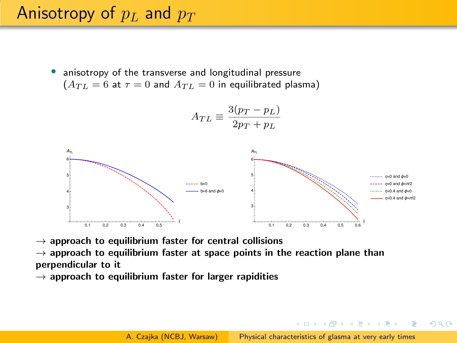# Anisotropy of  $p_L$  and  $p_T$

anisotropy of the transverse and longitudinal pressure  $(A_{TL} = 6$  at  $\tau = 0$  and  $A_{TL} = 0$  in equilibrated plasma)





- $\rightarrow$  approach to equilibrium faster for central collisions
- $\rightarrow$  approach to equilibrium faster at space points in the reaction plane than perpendicular to it
- $\rightarrow$  approach to equilibrium faster for larger rapidities

イロト イ押 トイヨ トイヨ トーヨ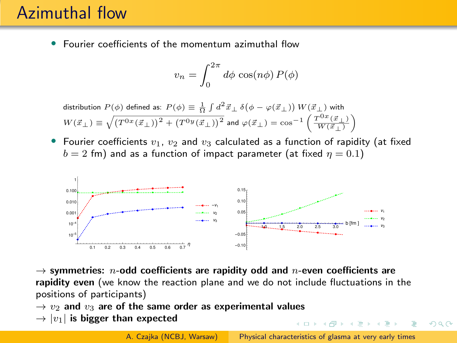## Azimuthal flow

• Fourier coefficients of the momentum azimuthal flow

$$
v_n = \int_0^{2\pi} d\phi \, \cos(n\phi) \, P(\phi)
$$

$$
\begin{array}{l} \mbox{distribution } P(\phi) \mbox{ defined as: } P(\phi) \equiv \frac{1}{\Omega} \int d^2 \vec{x}_\perp \; \delta\big(\phi - \varphi(\vec{x}_\perp)\big) \, W(\vec{x}_\perp) \mbox{ with } \\ W(\vec{x}_\perp) \equiv \sqrt{\big(T^{0x}(\vec{x}_\perp)\big)^2 + \big(T^{0y}(\vec{x}_\perp)\big)^2} \mbox{ and } \varphi(\vec{x}_\perp) = \cos^{-1}\left(\frac{T^{0x}(\vec{x}_\perp)}{W(\vec{x}_\perp)}\right) \end{array}
$$

• Fourier coefficients  $v_1$ ,  $v_2$  and  $v_3$  calculated as a function of rapidity (at fixed  $b = 2$  fm) and as a function of impact parameter (at fixed  $\eta = 0.1$ )



 $\rightarrow$  symmetries: *n*-odd coefficients are rapidity odd and *n*-even coefficients are rapidity even (we know the reaction plane and we do not include fluctuations in the positions of participants)

- $\rightarrow v_2$  and  $v_3$  are of the same order as experimental values
- $\rightarrow |v_1|$  is bigger than expected

A. Czajka (NCBJ, Warsaw) [Physical characteristics of glasma at very early times](#page-0-0)

∢ロ→ ∢母 ▶ ∢ ヨ ▶ ∢ ヨ ▶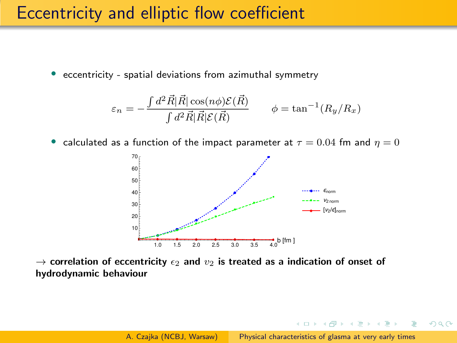### Eccentricity and elliptic flow coefficient

eccentricity - spatial deviations from azimuthal symmetry

$$
\varepsilon_n = -\frac{\int d^2 \vec{R} | \vec{R} | \cos(n\phi) \mathcal{E}(\vec{R})}{\int d^2 \vec{R} | \vec{R} | \mathcal{E}(\vec{R})} \qquad \phi = \tan^{-1}(R_y/R_x)
$$

calculated as a function of the impact parameter at  $\tau = 0.04$  fm and  $\eta = 0$ 



 $\rightarrow$  correlation of eccentricity  $\epsilon_2$  and  $v_2$  is treated as a indication of onset of hydrodynamic behaviour

イロト イ母ト イヨト イヨト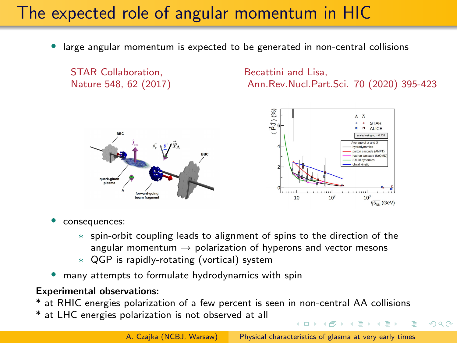## The expected role of angular momentum in HIC

large angular momentum is expected to be generated in non-central collisions

STAR Collaboration, Becattini and Lisa,<br>Nature 548, 62 (2017) Barn. Rev. Nucl. Part

Ann.Rev.Nucl.Part.Sci. 70 (2020) 395-423





イロト イタト イミト イミト

 $\Omega$ 

- consequences:
	- ∗ spin-orbit coupling leads to alignment of spins to the direction of the angular momentum  $\rightarrow$  polarization of hyperons and vector mesons
	- ∗ QGP is rapidly-rotating (vortical) system
- many attempts to formulate hydrodynamics with spin

#### Experimental observations:

\* at RHIC energies polarization of a few percent is seen in non-central AA collisions

\* at LHC energies polarization is not observed at all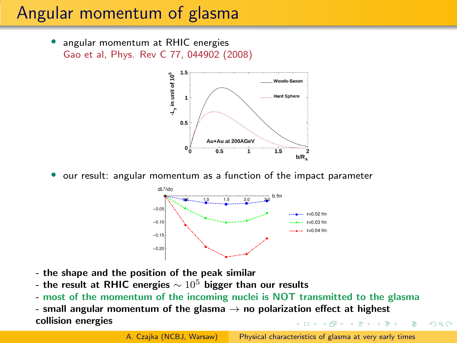## Angular momentum of glasma

angular momentum at RHIC energies Gao et al, Phys. Rev C 77, 044902 (2008)



our result: angular momentum as a function of the impact parameter



- the shape and the position of the peak similar
- the result at RHIC energies  $\sim 10^5$  bigger than our results
- most of the momentum of the incoming nuclei is NOT transmitted to the glasma
- small angular momentum of the glasma  $\rightarrow$  no polarization effect at highest collision energies イ押 トイヨ トイヨト

A. Czajka (NCBJ, Warsaw) [Physical characteristics of glasma at very early times](#page-0-0)

 $2990$ 

 $\equiv$